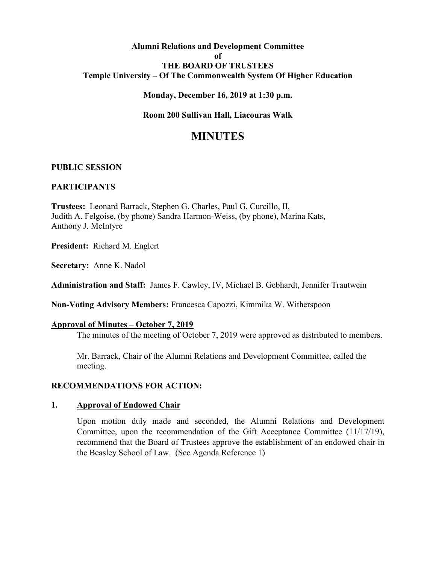# **Alumni Relations and Development Committee of THE BOARD OF TRUSTEES Temple University – Of The Commonwealth System Of Higher Education**

#### **Monday, December 16, 2019 at 1:30 p.m.**

#### **Room 200 Sullivan Hall, Liacouras Walk**

# **MINUTES**

#### **PUBLIC SESSION**

#### **PARTICIPANTS**

**Trustees:** Leonard Barrack, Stephen G. Charles, Paul G. Curcillo, II, Judith A. Felgoise, (by phone) Sandra Harmon-Weiss, (by phone), Marina Kats, Anthony J. McIntyre

**President:** Richard M. Englert

**Secretary:** Anne K. Nadol

**Administration and Staff:** James F. Cawley, IV, Michael B. Gebhardt, Jennifer Trautwein

**Non-Voting Advisory Members:** Francesca Capozzi, Kimmika W. Witherspoon

#### **Approval of Minutes – October 7, 2019**

The minutes of the meeting of October 7, 2019 were approved as distributed to members.

Mr. Barrack, Chair of the Alumni Relations and Development Committee, called the meeting.

#### **RECOMMENDATIONS FOR ACTION:**

#### **1. Approval of Endowed Chair**

Upon motion duly made and seconded, the Alumni Relations and Development Committee, upon the recommendation of the Gift Acceptance Committee (11/17/19), recommend that the Board of Trustees approve the establishment of an endowed chair in the Beasley School of Law. (See Agenda Reference 1)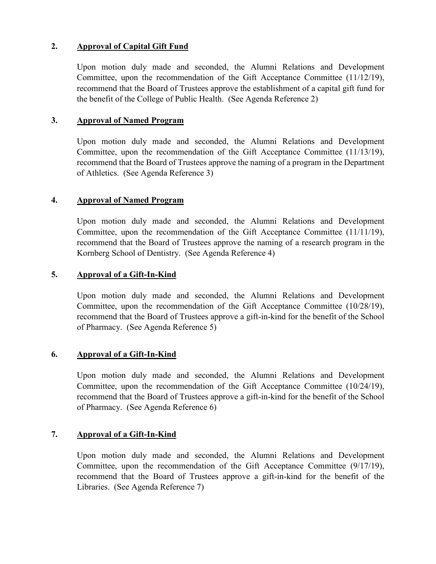# **2. Approval of Capital Gift Fund**

Upon motion duly made and seconded, the Alumni Relations and Development Committee, upon the recommendation of the Gift Acceptance Committee (11/12/19), recommend that the Board of Trustees approve the establishment of a capital gift fund for the benefit of the College of Public Health. (See Agenda Reference 2)

## **3. Approval of Named Program**

Upon motion duly made and seconded, the Alumni Relations and Development Committee, upon the recommendation of the Gift Acceptance Committee (11/13/19), recommend that the Board of Trustees approve the naming of a program in the Department of Athletics. (See Agenda Reference 3)

## **4. Approval of Named Program**

Upon motion duly made and seconded, the Alumni Relations and Development Committee, upon the recommendation of the Gift Acceptance Committee (11/11/19), recommend that the Board of Trustees approve the naming of a research program in the Kornberg School of Dentistry. (See Agenda Reference 4)

## **5. Approval of a Gift-In-Kind**

Upon motion duly made and seconded, the Alumni Relations and Development Committee, upon the recommendation of the Gift Acceptance Committee (10/28/19), recommend that the Board of Trustees approve a gift-in-kind for the benefit of the School of Pharmacy. (See Agenda Reference 5)

# **6. Approval of a Gift-In-Kind**

Upon motion duly made and seconded, the Alumni Relations and Development Committee, upon the recommendation of the Gift Acceptance Committee (10/24/19), recommend that the Board of Trustees approve a gift-in-kind for the benefit of the School of Pharmacy. (See Agenda Reference 6)

# **7. Approval of a Gift-In-Kind**

Upon motion duly made and seconded, the Alumni Relations and Development Committee, upon the recommendation of the Gift Acceptance Committee (9/17/19), recommend that the Board of Trustees approve a gift-in-kind for the benefit of the Libraries. (See Agenda Reference 7)